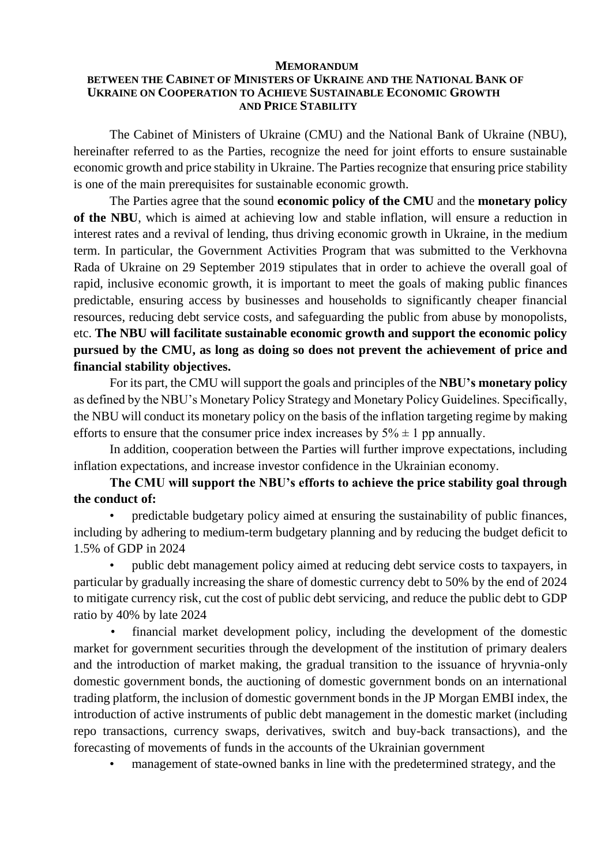## **MEMORANDUM**

## **BETWEEN THE CABINET OF MINISTERS OF UKRAINE AND THE NATIONAL BANK OF UKRAINE ON COOPERATION TO ACHIEVE SUSTAINABLE ECONOMIC GROWTH AND PRICE STABILITY**

The Cabinet of Ministers of Ukraine (CMU) and the National Bank of Ukraine (NBU), hereinafter referred to as the Parties, recognize the need for joint efforts to ensure sustainable economic growth and price stability in Ukraine. The Parties recognize that ensuring price stability is one of the main prerequisites for sustainable economic growth.

The Parties agree that the sound **economic policy of the CMU** and the **monetary policy of the NBU**, which is aimed at achieving low and stable inflation, will ensure a reduction in interest rates and a revival of lending, thus driving economic growth in Ukraine, in the medium term. In particular, the Government Activities Program that was submitted to the Verkhovna Rada of Ukraine on 29 September 2019 stipulates that in order to achieve the overall goal of rapid, inclusive economic growth, it is important to meet the goals of making public finances predictable, ensuring access by businesses and households to significantly cheaper financial resources, reducing debt service costs, and safeguarding the public from abuse by monopolists, etc. **The NBU will facilitate sustainable economic growth and support the economic policy pursued by the CMU, as long as doing so does not prevent the achievement of price and financial stability objectives.**

For its part, the CMU will support the goals and principles of the **NBU's monetary policy** as defined by the NBU's Monetary Policy Strategy and Monetary Policy Guidelines. Specifically, the NBU will conduct its monetary policy on the basis of the inflation targeting regime by making efforts to ensure that the consumer price index increases by  $5\% \pm 1$  pp annually.

In addition, cooperation between the Parties will further improve expectations, including inflation expectations, and increase investor confidence in the Ukrainian economy.

**The CMU will support the NBU's efforts to achieve the price stability goal through the conduct of:**

• predictable budgetary policy aimed at ensuring the sustainability of public finances, including by adhering to medium-term budgetary planning and by reducing the budget deficit to 1.5% of GDP in 2024

• public debt management policy aimed at reducing debt service costs to taxpayers, in particular by gradually increasing the share of domestic currency debt to 50% by the end of 2024 to mitigate currency risk, cut the cost of public debt servicing, and reduce the public debt to GDP ratio by 40% by late 2024

financial market development policy, including the development of the domestic market for government securities through the development of the institution of primary dealers and the introduction of market making, the gradual transition to the issuance of hryvnia-only domestic government bonds, the auctioning of domestic government bonds on an international trading platform, the inclusion of domestic government bonds in the JP Morgan EMBI index, the introduction of active instruments of public debt management in the domestic market (including repo transactions, currency swaps, derivatives, switch and buy-back transactions), and the forecasting of movements of funds in the accounts of the Ukrainian government

management of state-owned banks in line with the predetermined strategy, and the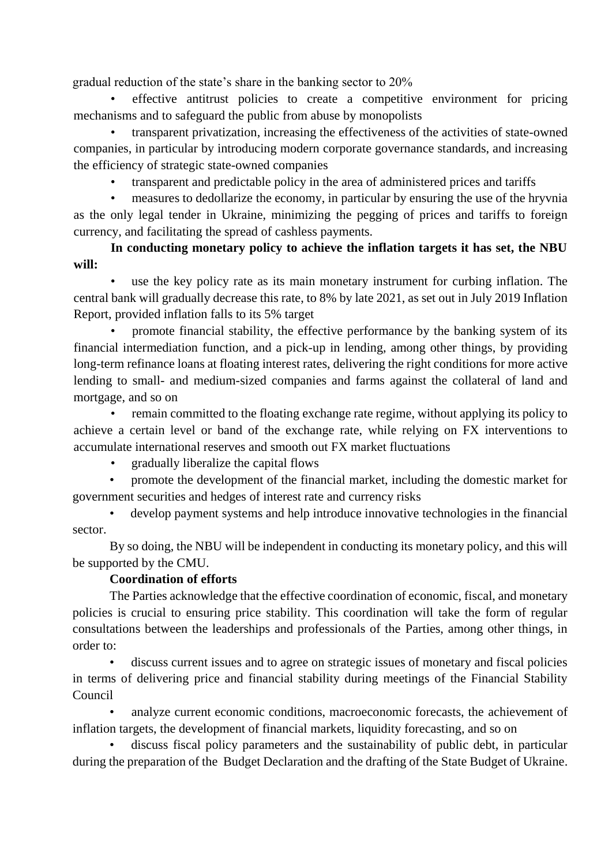gradual reduction of the state's share in the banking sector to 20%

• effective antitrust policies to create a competitive environment for pricing mechanisms and to safeguard the public from abuse by monopolists

• transparent privatization, increasing the effectiveness of the activities of state-owned companies, in particular by introducing modern corporate governance standards, and increasing the efficiency of strategic state-owned companies

• transparent and predictable policy in the area of administered prices and tariffs

• measures to dedollarize the economy, in particular by ensuring the use of the hryvnia as the only legal tender in Ukraine, minimizing the pegging of prices and tariffs to foreign currency, and facilitating the spread of cashless payments.

**In conducting monetary policy to achieve the inflation targets it has set, the NBU will:**

use the key policy rate as its main monetary instrument for curbing inflation. The central bank will gradually decrease this rate, to 8% by late 2021, as set out in July 2019 Inflation Report, provided inflation falls to its 5% target

• promote financial stability, the effective performance by the banking system of its financial intermediation function, and a pick-up in lending, among other things, by providing long-term refinance loans at floating interest rates, delivering the right conditions for more active lending to small- and medium-sized companies and farms against the collateral of land and mortgage, and so on

• remain committed to the floating exchange rate regime, without applying its policy to achieve a certain level or band of the exchange rate, while relying on FX interventions to accumulate international reserves and smooth out FX market fluctuations

• gradually liberalize the capital flows

• promote the development of the financial market, including the domestic market for government securities and hedges of interest rate and currency risks

• develop payment systems and help introduce innovative technologies in the financial sector.

By so doing, the NBU will be independent in conducting its monetary policy, and this will be supported by the CMU.

## **Coordination of efforts**

The Parties acknowledge that the effective coordination of economic, fiscal, and monetary policies is crucial to ensuring price stability. This coordination will take the form of regular consultations between the leaderships and professionals of the Parties, among other things, in order to:

discuss current issues and to agree on strategic issues of monetary and fiscal policies in terms of delivering price and financial stability during meetings of the Financial Stability Council

analyze current economic conditions, macroeconomic forecasts, the achievement of inflation targets, the development of financial markets, liquidity forecasting, and so on

discuss fiscal policy parameters and the sustainability of public debt, in particular during the preparation of the Budget Declaration and the drafting of the State Budget of Ukraine.